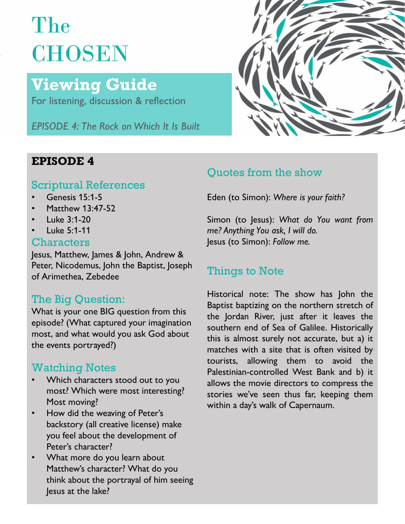# The **CHOSEN**

## Viewing Guide

For listening, discussion & reflection

EPISODE 4: The Rock on Which It Is Built

### Scriptural References

- 
- Matthew 13:47-52
- Luke 3:1-20
- Luke 5:1-11

### **Characters**

Jesus, Matthew, James & John, Andrew & Peter, Nicodemus, John the Baptist, Joseph<br>
Things to Note of Arimethea, Zebedee

### The Big Question:

the events portrayed?)

- Most moving?
- Flost moving:<br>How did the weaving of Peter's<br>How did the weaving of Peter's backstory (all creative license) make you feel about the development of Peter's character?
- What more do you learn about Matthew's character? What do you think about the portrayal of him seeing Jesus at the lake?



## **EPISODE 4** Outlets from the show

Genesis 15:1-5 **• Eden** (to Simon): Where is your faith?

The Big Question.<br>What is your one BIG question from this the lordan River, just after it leaves the episode? (What captured your imagination southern end of Sea of Galilee. Historically most, and what would you ask God about<br>this is almost surely not accurate, but a) it Watching Notes<br>
Watching Notes<br>
Palestinian-controlled West Bank and b) it Which characters stood out to you allows the movie directors to compress the most? Which were most interesting?<br>stories we've seen thus far, keeping them Quotes from the show<br>Eden (to Simon): Where is your faith?<br>Simon (to Jesus): What do You want from<br>me? Anything You ask, I will do.<br>Jesus (to Simon): Follow me.<br>Things to Note<br>Historical note: The show has John the<br>Baptist Quotes from the show<br>Eden (to Simon): Where is your faith?<br>Simon (to Jesus): What do You want from<br>me? Anything You ask, I will do.<br>Jesus (to Simon): Follow me.<br>Things to Note<br>Historical note: The show has John the<br>Baptist Quotes from the show<br>Eden (to Simon): Where is your faith?<br>Simon (to Jesus): What do You want from<br>me? Anything You ask, I will do.<br>Jesus (to Simon): Follow me.<br>Things to Note<br>Historical note: The show has John the<br>Baptist Quotes from the show<br>Eden (to Simon): Where is your faith?<br>Simon (to Jesus): What do You want from<br>me? Anything You ask, I will do.<br>Jesus (to Simon): Follow me.<br>Things to Note<br>Historical note: The show has John the<br>Baptist Eden (to Simon): Where is your faith?<br>Simon (to Jesus): What do You want from<br>me? Anything You ask, I will do.<br>Jesus (to Simon): Follow me.<br>Things to Note<br>Historical note: The show has John the<br>Baptist baptizing on the nor Eden (to Simon): Where is your faith?<br>Simon (to Jesus): What do You want from<br>me? Anything You ask, I will do.<br>Jesus (to Simon): Follow me.<br>Things to Note<br>Historical note: The show has John the<br>Baptist baptizing on the nor Eden (to simon): where is your juth?<br>Simon (to Jesus): What do You want from<br>me? Anything You ask, I will do.<br>Jesus (to Simon): Follow me.<br>Things to Note<br>Historical note: The show has John the<br>Baptist baptizing on the nort Simon (to Jesus): What do You want from<br>me? Anything You ask, I will do.<br>Jesus (to Simon): Follow me.<br>Things to Note<br>Historical note: The show has John the<br>Baptist baptizing on the northern stretch of<br>the Jordan River, jus simon (to jesus): what ao rou want from<br>me? Anything You ask, I will do.<br>Jesus (to Simon): Follow me.<br>Things to Note<br>Historical note: The show has John the<br>Baptist baptizing on the northern stretch of<br>the Jordan River, jus me: Anything rou dsk, I will do.<br>Jesus (to Simon): Follow me.<br>Things to Note<br>Historical note: The show has John the<br>Baptist baptizing on the northern stretch of<br>the Jordan River, just after it leaves the<br>southern end of Se Jesus (to simon): ronow me.<br>Things to Note<br>Historical note: The show has John the<br>Baptist baptizing on the northern stretch of<br>the Jordan River, just after it leaves the<br>southern end of Sea of Galilee. Historically<br>this is